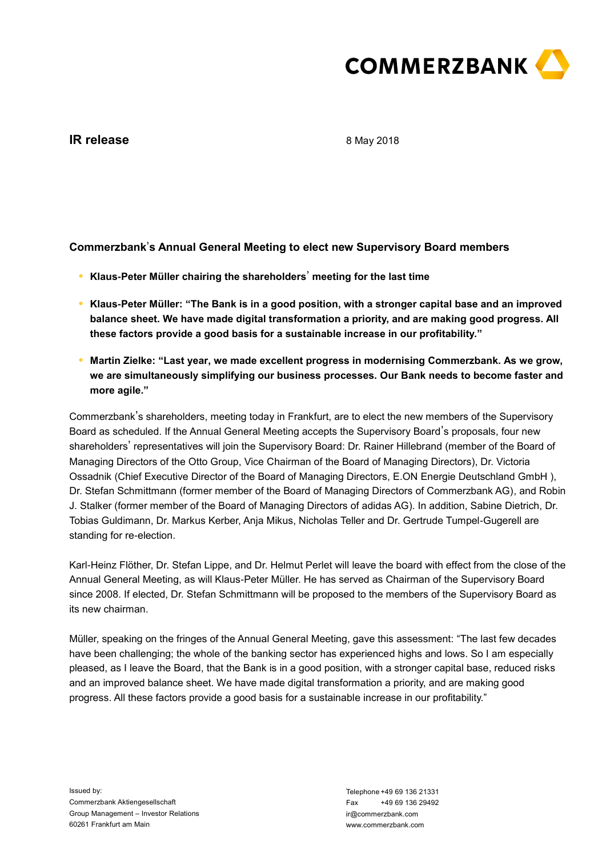

# **IR release**

8 May 2018

## **Commerzbank**'**s Annual General Meeting to elect new Supervisory Board members**

- **● Klaus-Peter Müller chairing the shareholders**' **meeting for the last time**
- **● Klaus-Peter Müller: "The Bank is in a good position, with a stronger capital base and an improved balance sheet. We have made digital transformation a priority, and are making good progress. All these factors provide a good basis for a sustainable increase in our profitability."**
- **● Martin Zielke: "Last year, we made excellent progress in modernising Commerzbank. As we grow, we are simultaneously simplifying our business processes. Our Bank needs to become faster and more agile."**

Commerzbank's shareholders, meeting today in Frankfurt, are to elect the new members of the Supervisory Board as scheduled. If the Annual General Meeting accepts the Supervisory Board's proposals, four new shareholders' representatives will join the Supervisory Board: Dr. Rainer Hillebrand (member of the Board of Managing Directors of the Otto Group, Vice Chairman of the Board of Managing Directors), Dr. Victoria Ossadnik (Chief Executive Director of the Board of Managing Directors, E.ON Energie Deutschland GmbH ), Dr. Stefan Schmittmann (former member of the Board of Managing Directors of Commerzbank AG), and Robin J. Stalker (former member of the Board of Managing Directors of adidas AG). In addition, Sabine Dietrich, Dr. Tobias Guldimann, Dr. Markus Kerber, Anja Mikus, Nicholas Teller and Dr. Gertrude Tumpel-Gugerell are standing for re-election.

Karl-Heinz Flöther, Dr. Stefan Lippe, and Dr. Helmut Perlet will leave the board with effect from the close of the Annual General Meeting, as will Klaus-Peter Müller. He has served as Chairman of the Supervisory Board since 2008. If elected, Dr. Stefan Schmittmann will be proposed to the members of the Supervisory Board as its new chairman.

Müller, speaking on the fringes of the Annual General Meeting, gave this assessment: "The last few decades have been challenging; the whole of the banking sector has experienced highs and lows. So I am especially pleased, as I leave the Board, that the Bank is in a good position, with a stronger capital base, reduced risks and an improved balance sheet. We have made digital transformation a priority, and are making good progress. All these factors provide a good basis for a sustainable increase in our profitability."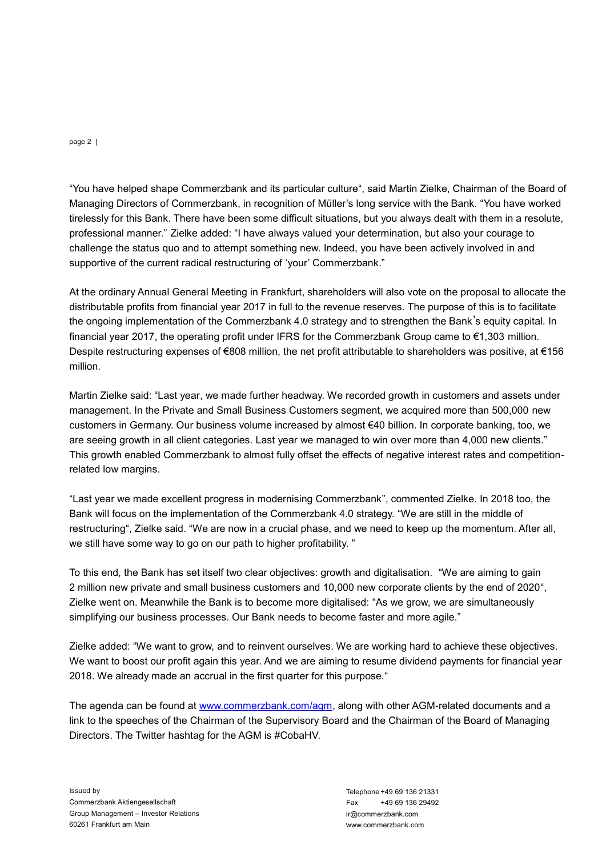page 2 |

Managing Directors of Commerzbank, in recognition of Müller's long service with the Bank. "You have worked tirelessly for this Bank. There have been some difficult situations, but you always dealt with them in a resolute, professional manner." Zielke added: "I have always valued your determination, but also your courage to challenge the status quo and to attempt something new. Indeed, you have been actively involved in and supportive of the current radical restructuring of 'your' Commerzbank."

Thus the helped shape Commerzbank and its particular to thus to said Marin Zelke, Chairman of the Board of the Sunser of the Sunser Commerzbank and its particular that the there is the same Commerzbank.<br>The same Martin Ber At the ordinary Annual General Meeting in Frankfurt, shareholders will also vote on the proposal to allocate the distributable profits from financial year 2017 in full to the revenue reserves. The purpose of this is to facilitate the ongoing implementation of the Commerzbank 4.0 strategy and to strengthen the Bank's equity capital. In financial year 2017, the operating profit under IFRS for the Commerzbank Group came to €1,303 million. Despite restructuring expenses of €808 million, the net profit attributable to shareholders was positive, at €156 million.

Martin Zielke said: "Last year, we made further headway. We recorded growth in customers and assets under management. In the Private and Small Business Customers segment, we acquired more than 500,000 new customers in Germany. Our business volume increased by almost €40 billion. In corporate banking, too, we are seeing growth in all client categories. Last year we managed to win over more than 4,000 new clients." This growth enabled Commerzbank to almost fully offset the effects of negative interest rates and competitionrelated low margins.

"Last year we made excellent progress in modernising Commerzbank", commented Zielke. In 2018 too, the Bank will focus on the implementation of the Commerzbank 4.0 strategy. "We are still in the middle of restructuring", Zielke said. "We are now in a crucial phase, and we need to keep up the momentum. After all, we still have some way to go on our path to higher profitability. "

To this end, the Bank has set itself two clear objectives: growth and digitalisation. "We are aiming to gain 2 million new private and small business customers and 10,000 new corporate clients by the end of 2020", Zielke went on. Meanwhile the Bank is to become more digitalised: "As we grow, we are simultaneously simplifying our business processes. Our Bank needs to become faster and more agile."

Zielke added: "We want to grow, and to reinvent ourselves. We are working hard to achieve these objectives. We want to boost our profit again this year. And we are aiming to resume dividend payments for financial year 2018. We already made an accrual in the first quarter for this purpose."

The agenda can be found at [www.commerzbank.com/agm,](http://www.commerzbank.com/agm) along with other AGM-related documents and a link to the speeches of the Chairman of the Supervisory Board and the Chairman of the Board of Managing Directors. The Twitter hashtag for the AGM is #CobaHV.